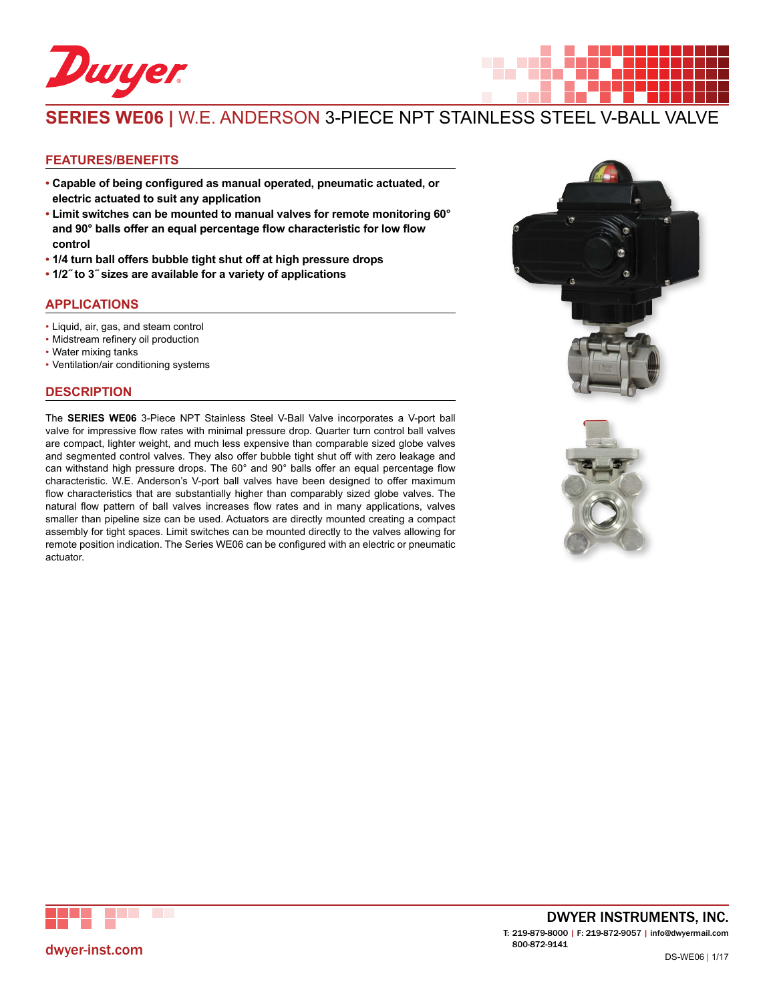

# **SERIES WE06 |** W.E. ANDERSON 3-PIECE NPT STAINLESS STEEL V-BALL VALVE

#### **FEATURES/BENEFITS**

- **• Capable of being configured as manual operated, pneumatic actuated, or electric actuated to suit any application**
- **• Limit switches can be mounted to manual valves for remote monitoring 60° and 90° balls offer an equal percentage flow characteristic for low flow control**
- **• 1/4 turn ball offers bubble tight shut off at high pressure drops**
- **• 1/2˝ to 3˝ sizes are available for a variety of applications**

#### **APPLICATIONS**

- Liquid, air, gas, and steam control
- • Midstream refinery oil production
- Water mixing tanks
- • Ventilation/air conditioning systems

#### **DESCRIPTION**

The **SERIES WE06** 3-Piece NPT Stainless Steel V-Ball Valve incorporates a V-port ball valve for impressive flow rates with minimal pressure drop. Quarter turn control ball valves are compact, lighter weight, and much less expensive than comparable sized globe valves and segmented control valves. They also offer bubble tight shut off with zero leakage and can withstand high pressure drops. The 60° and 90° balls offer an equal percentage flow characteristic. W.E. Anderson's V-port ball valves have been designed to offer maximum flow characteristics that are substantially higher than comparably sized globe valves. The natural flow pattern of ball valves increases flow rates and in many applications, valves smaller than pipeline size can be used. Actuators are directly mounted creating a compact assembly for tight spaces. Limit switches can be mounted directly to the valves allowing for remote position indication. The Series WE06 can be configured with an electric or pneumatic actuator.







DWYER INSTRUMENTS, INC. T: 219-879-8000 | F: 219-872-9057 | info@dwyermail.com 800-872-9141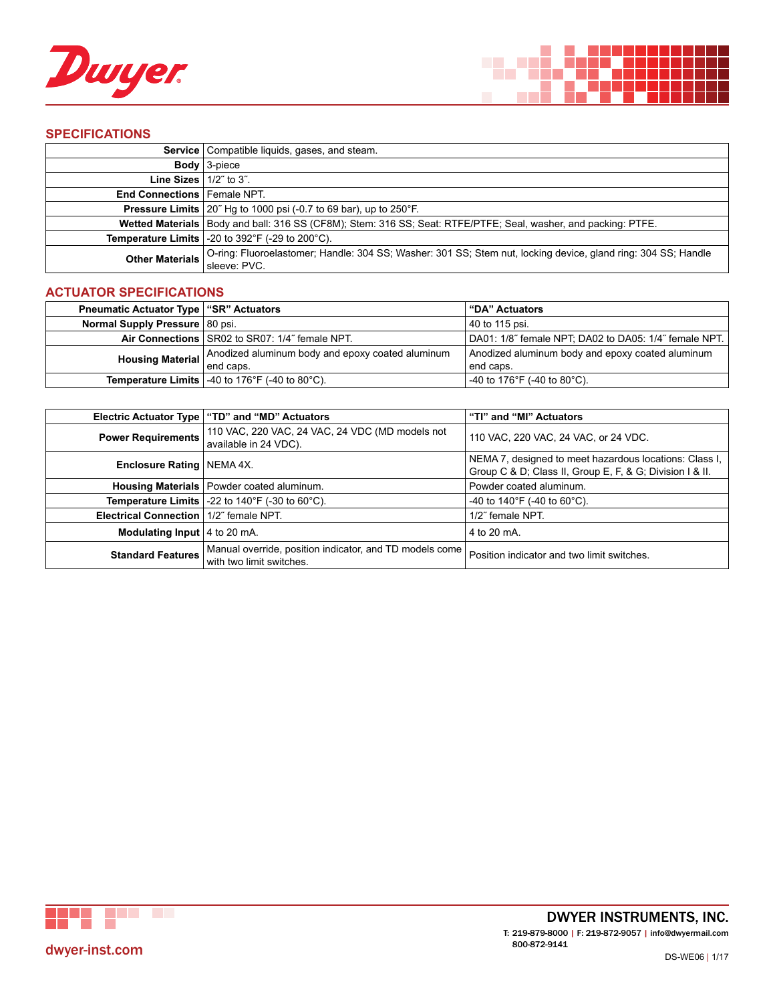



## **SPECIFICATIONS**

|                                   | <b>Service</b>   Compatible liquids, gases, and steam.                                                                        |
|-----------------------------------|-------------------------------------------------------------------------------------------------------------------------------|
|                                   | <b>Body</b> $3$ -piece                                                                                                        |
| <b>Line Sizes</b> $ 1/2$ " to 3". |                                                                                                                               |
| End Connections   Female NPT.     |                                                                                                                               |
|                                   | <b>Pressure Limits</b> $20^\circ$ Hg to 1000 psi (-0.7 to 69 bar), up to $250^\circ$ F.                                       |
|                                   | Wetted Materials   Body and ball: 316 SS (CF8M); Stem: 316 SS; Seat: RTFE/PTFE; Seal, washer, and packing: PTFE.              |
|                                   | <b>Temperature Limits</b> $\vert$ -20 to 392°F (-29 to 200°C).                                                                |
| <b>Other Materials</b>            | O-ring: Fluoroelastomer; Handle: 304 SS; Washer: 301 SS; Stem nut, locking device, gland ring: 304 SS; Handle<br>sleeve: PVC. |

## **ACTUATOR SPECIFICATIONS**

| <b>Pneumatic Actuator Type   "SR" Actuators</b> |                                                                                                    | "DA" Actuators                                        |  |  |  |
|-------------------------------------------------|----------------------------------------------------------------------------------------------------|-------------------------------------------------------|--|--|--|
| Normal Supply Pressure 80 psi.                  |                                                                                                    | 40 to 115 psi.                                        |  |  |  |
|                                                 | Air Connections SR02 to SR07: 1/4" female NPT.                                                     | DA01: 1/8" female NPT; DA02 to DA05: 1/4" female NPT. |  |  |  |
|                                                 | <b>Housing Material</b> $\begin{cases}$ Anodized aluminum body and epoxy coated aluminum end caps. | Anodized aluminum body and epoxy coated aluminum      |  |  |  |
|                                                 |                                                                                                    | end caps.                                             |  |  |  |
|                                                 | <b>Temperature Limits</b> $-40$ to 176°F (-40 to 80°C).                                            | -40 to 176°F (-40 to 80°C).                           |  |  |  |

|                                                 | Electric Actuator Type   "TD" and "MD" Actuators                                    | "TI" and "MI" Actuators                                                                                            |  |  |  |  |
|-------------------------------------------------|-------------------------------------------------------------------------------------|--------------------------------------------------------------------------------------------------------------------|--|--|--|--|
| <b>Power Requirements</b>                       | 110 VAC, 220 VAC, 24 VAC, 24 VDC (MD models not<br>available in 24 VDC).            | 110 VAC, 220 VAC, 24 VAC, or 24 VDC.                                                                               |  |  |  |  |
| <b>Enclosure Rating   NEMA 4X.</b>              |                                                                                     | NEMA 7, designed to meet hazardous locations: Class I,<br>Group C & D; Class II, Group E, F, & G; Division I & II. |  |  |  |  |
|                                                 | Housing Materials   Powder coated aluminum.                                         | Powder coated aluminum.                                                                                            |  |  |  |  |
|                                                 | <b>Temperature Limits</b> $\vert$ -22 to 140°F (-30 to 60°C).                       | -40 to 140°F (-40 to 60°C).                                                                                        |  |  |  |  |
| <b>Electrical Connection   1/2" female NPT.</b> |                                                                                     | 1/2" female NPT.                                                                                                   |  |  |  |  |
| <b>Modulating Input</b> $ 4$ to 20 mA.          |                                                                                     | 4 to 20 mA.                                                                                                        |  |  |  |  |
| <b>Standard Features</b>                        | Manual override, position indicator, and TD models come<br>with two limit switches. | Position indicator and two limit switches.                                                                         |  |  |  |  |

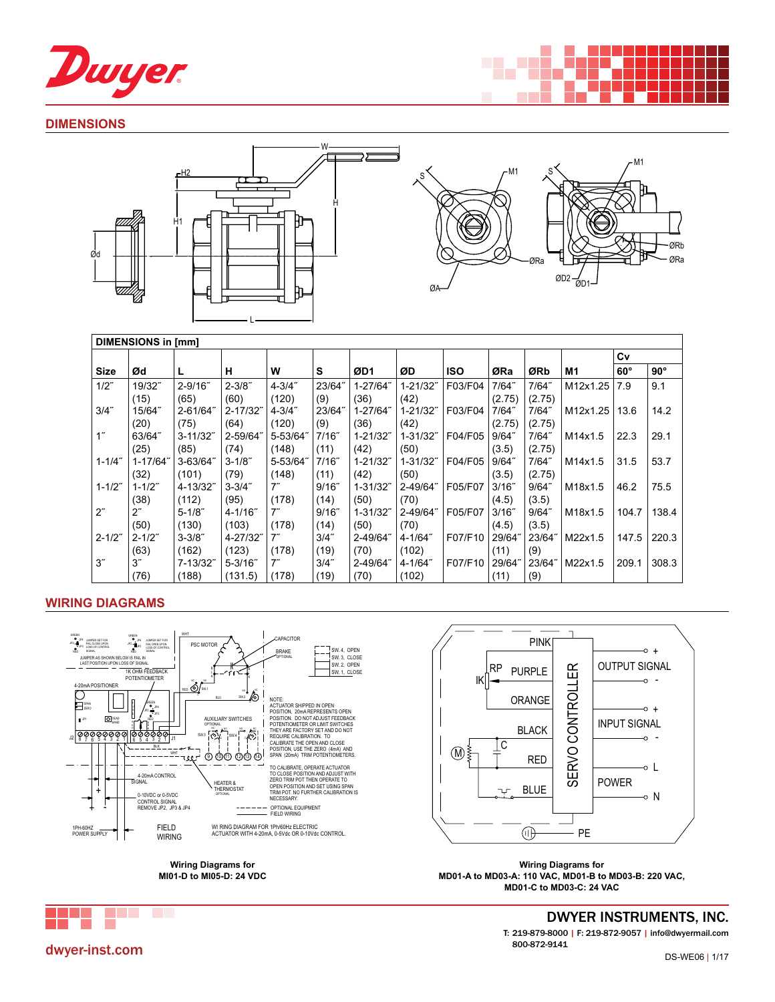

### **DIMENSIONS**





| <b>DIMENSIONS in [mm]</b> |                 |              |              |                    |          |          |              |            |          |          |          |            |            |
|---------------------------|-----------------|--------------|--------------|--------------------|----------|----------|--------------|------------|----------|----------|----------|------------|------------|
|                           |                 |              |              |                    |          |          |              |            |          |          |          | Cv         |            |
| <b>Size</b>               | Ød              |              | н            | W                  | s        | ØD1      | ØD           | <b>ISO</b> | ØRa      | ØRb      | M1       | $60^\circ$ | $90^\circ$ |
| $1/2$ "                   | 19/32"          | $2 - 9/16$ " | $2 - 3/8"$   | $4 - 3/4$ "        | 23/64"   | 1-27/64" | 1-21/32"     | F03/F04    | 7/64"    | $7/64$ " | M12x1.25 | 7.9        | 9.1        |
|                           | (15)            | (65)         | (60)         | (120)              | (9)      | (36)     | (42)         |            | (2.75)   | (2.75)   |          |            |            |
| $3/4$ "                   | 15/64"          | 2-61/64"     | 2-17/32"     | $4 - 3/4$ "        | 23/64"   | 1-27/64" | $1 - 21/32"$ | F03/F04    | $7/64$ " | $7/64$ " | M12x1.25 | 13.6       | 14.2       |
|                           | (20)            | (75)         | (64)         | (120)              | (9)      | (36)     | (42)         |            | (2.75)   | (2.75)   |          |            |            |
| 1 <sup>th</sup>           | 63/64"          | $3 - 11/32$  | 2-59/64"     | 5-53/64"           | 7/16"    | 1-21/32" | 1-31/32"     | F04/F05    | $9/64$ " | 7/64"    | M14x1.5  | 22.3       | 29.1       |
|                           | (25)            | (85)         | (74)         | (148)              | (11)     | (42)     | (50)         |            | (3.5)    | (2.75)   |          |            |            |
| $1 - 1/4$ "               | 1-17/64"        | $3 - 63/64$  | $3 - 1/8$    | 5-53/64"           | 7/16"    | 1-21/32" | 1-31/32"     | F04/F05    | $9/64$ " | $7/64$ " | M14x1.5  | 31.5       | 53.7       |
|                           | (32)            | (101)        | (79)         | (148)              | (11)     | (42)     | (50)         |            | (3.5)    | (2.75)   |          |            |            |
| $1 - 1/2"$                | $1 - 1/2$ "     | 4-13/32      | $3 - 3/4$ "  | $7^{\prime\prime}$ | $9/16$ " | 1-31/32" | 2-49/64"     | F05/F07    | $3/16$ " | $9/64$ " | M18x1.5  | 46.2       | 75.5       |
|                           | (38)            | (112)        | (95)         | (178)              | (14)     | (50)     | (70)         |            | (4.5)    | (3.5)    |          |            |            |
| $2^{\prime\prime}$        | $2^r$           | $5 - 1/8$    | $4 - 1/16$ " | $7^{\prime\prime}$ | 9/16"    | 1-31/32" | 2-49/64"     | F05/F07    | $3/16$ " | 9/64"    | M18x1.5  | 104.7      | 138.4      |
|                           | (50)            | (130)        | (103)        | (178)              | (14)     | (50)     | (70)         |            | (4.5)    | (3.5)    |          |            |            |
| $2 - 1/2$ "               | $2 - 1/2"$      | $3 - 3/8$ "  | 4-27/32"     | $7^{\prime\prime}$ | $3/4$ "  | 2-49/64  | 4-1/64"      | F07/F10    | 29/64    | 23/64"   | M22x1.5  | 147.5      | 220.3      |
|                           | (63)            | (162)        | (123)        | (178)              | (19)     | (70)     | (102)        |            | (11)     | (9)      |          |            |            |
| $3^{\prime\prime}$        | 3 <sup>''</sup> | 7-13/32"     | $5 - 3/16$   | $7^{\prime\prime}$ | $3/4$ "  | 2-49/64" | 4-1/64"      | F07/F10    | 29/64"   | 23/64"   | M22x1.5  | 209.1      | 308.3      |
|                           | (76)            | (188)        | (131.5)      | (178)              | (19)     | (70)     | (102)        |            | (11)     | (9)      |          |            |            |

∍≂

# **WIRING DIAGRAMS**



**MI01-D to MI05-D: 24 VDC**



**Wiring Diagrams for MD01-A to MD03-A: 110 VAC, MD01-B to MD03-B: 220 VAC, MD01-C to MD03-C: 24 VAC**



DWYER INSTRUMENTS, INC. T: 219-879-8000 | F: 219-872-9057 | info@dwyermail.com 800-872-9141